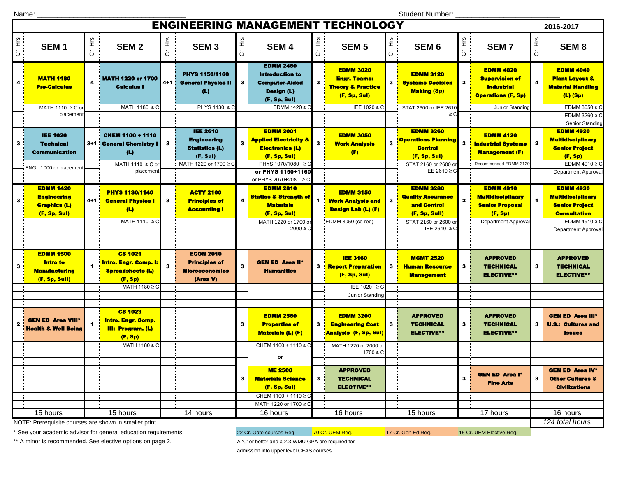Name: \_\_\_\_\_\_\_\_\_\_\_\_\_\_\_\_\_\_\_\_\_\_\_\_\_\_\_\_\_\_\_\_\_\_\_\_\_

Student Number: \_\_\_\_\_\_\_\_\_\_\_\_\_\_\_\_\_\_\_\_\_\_\_\_\_\_

| <b>ENGINEERING MANAGEMENT TECHNOLOGY</b><br>2016-2017 |                                                                                |                    |                                                                                                            |         |                                                                                                     |         |                                                                                                           |              |                                                                                                     |                 |                                                                                                  |              |                                                                                                |              |                                                                                                                           |
|-------------------------------------------------------|--------------------------------------------------------------------------------|--------------------|------------------------------------------------------------------------------------------------------------|---------|-----------------------------------------------------------------------------------------------------|---------|-----------------------------------------------------------------------------------------------------------|--------------|-----------------------------------------------------------------------------------------------------|-----------------|--------------------------------------------------------------------------------------------------|--------------|------------------------------------------------------------------------------------------------|--------------|---------------------------------------------------------------------------------------------------------------------------|
| Cr. Hrs                                               | SEM <sub>1</sub>                                                               | Cr. Hrs            | SEM <sub>2</sub>                                                                                           | Cr. Hrs | SEM <sub>3</sub>                                                                                    | Cr. Hrs | <b>SEM4</b>                                                                                               | Cr. Hrs      | <b>SEM 5</b>                                                                                        | $\ddot{\sigma}$ | SEM <sub>6</sub>                                                                                 | Cr. Hrs      | <b>SEM7</b>                                                                                    | Cr. Hrs      | SEM <sub>8</sub>                                                                                                          |
|                                                       | <b>MATH 1180</b><br><b>Pre-Calculus</b>                                        |                    | <b>MATH 1220 or 1700</b><br><b>Calculus I</b>                                                              | $4 + 1$ | <b>PHYS 1150/1160</b><br><b>General Physics II</b><br>(L)                                           | 3       | <b>EDMM 2460</b><br><b>Introduction to</b><br><b>Computer-Aided</b><br><b>Design (L)</b><br>(F, Sp, Sul)  |              | <b>EDMM 3020</b><br><b>Engr. Teams:</b><br><b>Theory &amp; Practice</b><br>(F, Sp, Sul)             | 3 I             | <b>EDMM 3120</b><br><b>Systems Decision</b><br><b>Making (Sp)</b>                                | з            | <b>EDMM 4020</b><br><b>Supervision of</b><br><b>Industrial</b><br><b>Operations (F, Sp)</b>    | 4            | <b>EDMM 4040</b><br><b>Plant Layout &amp;</b><br><b>Material Handling</b><br>$(L)$ (Sp)                                   |
|                                                       | MATH 1110 ≥ C or<br>placement                                                  |                    | MATH 1180 ≥ C                                                                                              |         | PHYS 1130 ≥ 0                                                                                       |         | EDMM $1420 \ge C$                                                                                         |              | IEE 1020 ≥ C                                                                                        |                 | STAT 2600 or IEE 261<br>$\geq$ C                                                                 |              | Junior Standing                                                                                |              | EDMM 3050 $\geq$ C<br>EDMM 3260 $\geq$ C                                                                                  |
| 3                                                     | <b>IEE 1020</b><br><b>Technical</b><br><b>Communication</b>                    |                    | <b>CHEM 1100 + 1110</b><br>3+1 : General Chemistry I<br>(L)<br>MATH 1110 ≥ C or                            | 3       | <b>IEE 2610</b><br><b>Engineering</b><br><b>Statistics (L)</b><br>(F, Sul)<br>MATH 1220 or 1700 ≥ 0 |         | <b>EDMM 2001</b><br>Applied Electricity &<br><b>Electronics (L)</b><br>(F, Sp, Sul)<br>PHYS 1070/1080 ≥ C | $\mathbf{3}$ | <b>EDMM 3050</b><br><b>Work Analysis</b><br>(F)                                                     | 3               | <b>EDMM 3260</b><br><b>Operations Planning</b><br>Control<br>(F, Sp, Sul)<br>STAT 2160 or 2600 o | $\mathbf{3}$ | <b>EDMM 4120</b><br><b>Industrial Systems</b><br><b>Management (F)</b><br>Recommended EDMM 312 | $\mathbf{2}$ | Senior Standing<br><b>EDMM 4920</b><br><b>Multidisciplinary</b><br><b>Senior Project</b><br>(F, Sp)<br>EDMM 4910 $\geq$ C |
|                                                       | ENGL 1000 or placement                                                         |                    | placemen                                                                                                   |         |                                                                                                     |         | or PHYS 1150+1160<br>or PHYS 2070+2080 ≥ C                                                                |              |                                                                                                     |                 | IEE 2610 ≥ C                                                                                     |              |                                                                                                |              | <b>Department Approval</b>                                                                                                |
| 3                                                     | <b>EDMM 1420</b><br><b>Engineering</b><br><b>Graphics (L)</b><br>(F, Sp, Sul)  | 4+1 <mark> </mark> | <b>PHYS 1130/1140</b><br><b>General Physics I</b><br>(L)                                                   | 3       | <b>ACTY 2100</b><br><b>Principles of</b><br><b>Accounting I</b>                                     |         | <b>EDMM 2810</b><br><b>Statics &amp; Strength of</b><br><b>Materials</b><br>(F, Sp, Sul)                  | 1            | <b>EDMM 3150</b><br><b>Work Analysis and</b><br><b>Design Lab (L) (F)</b>                           | 3               | <b>EDMM 3280</b><br><b>Quality Assurance</b><br>and Control<br>(F, Sp, Sull)                     |              | <b>EDMM 4910</b><br><b>Multidisciplinary</b><br><b>Senior Proposal</b><br>(F, Sp)              |              | <b>EDMM 4930</b><br><b>Multidisciplinary</b><br><b>Senior Project</b><br><b>Consultation</b>                              |
|                                                       |                                                                                |                    | MATH 1110 ≥ C                                                                                              |         |                                                                                                     |         | MATH 1220 or 1700 o<br>$2000 \ge C$                                                                       |              | EDMM 3050 (co-req)                                                                                  |                 | STAT 2160 or 2600 o<br>IEE 2610 ≥ 0                                                              |              | <b>Department Approva</b>                                                                      |              | EDMM 4910 ≥ C<br><b>Department Approval</b>                                                                               |
| з                                                     | <b>EDMM 1500</b><br><b>Intro to</b><br><b>Manufacturing</b><br>(F, Sp, Sull)   |                    | <b>CS 1021</b><br><b>Intro. Engr. Comp. I:</b><br><b>Spreadsheets (L)</b><br>(F, Sp)                       | 3       | <b>ECON 2010</b><br><b>Principles of</b><br><b>Microeconomics</b><br>(Area V)                       | 3       | <b>GEN ED Area II*</b><br><b>Humanities</b>                                                               | 3            | <b>IEE 3160</b><br><b>Report Preparation</b><br>(F, Sp, Sul)                                        | 3 <sup>1</sup>  | <b>MGMT 2520</b><br><b>Human Resource</b><br><b>Management</b>                                   | 3            | <b>APPROVED</b><br><b>TECHNICAL</b><br><b>ELECTIVE**</b>                                       | 3            | <b>APPROVED</b><br><b>TECHNICAL</b><br><b>ELECTIVE**</b>                                                                  |
|                                                       |                                                                                |                    | MATH 1180 ≥ C                                                                                              |         |                                                                                                     |         |                                                                                                           |              | IEE 1020 ≥ C<br>Junior Standing                                                                     |                 |                                                                                                  |              |                                                                                                |              |                                                                                                                           |
| $\overline{\mathbf{z}}$                               | <b>GEN ED Area VIII<sup>®</sup></b><br><b>Health &amp; Well Being</b>          |                    | <b>CS 1023</b><br><mark>Intro. Engr. Comp</mark> .<br><b>III: Program. (L)</b><br>(F, Sp)<br>MATH 1180 ≥ C |         |                                                                                                     | 3       | <b>EDMM 2560</b><br><b>Properties of</b><br><b>Materials (L) (F)</b><br>CHEM 1100 + 1110 ≥ C              | 3            | <b>EDMM 3200</b><br><b>Engineering Cost</b><br><b>Analysis (F, Sp, Sul)</b><br>MATH 1220 or 2000 or | $\mathbf{3}$    | <b>APPROVED</b><br><b>TECHNICAL</b><br><b>ELECTIVE**</b>                                         | 3            | <b>APPROVED</b><br><b>TECHNICAL</b><br><b>ELECTIVE**</b>                                       | 3            | <b>GEN ED Area III*</b><br><b>U.S.: Cultures and</b><br><b>Issues</b>                                                     |
|                                                       |                                                                                |                    |                                                                                                            |         |                                                                                                     |         | or                                                                                                        |              | $1700 \ge C$                                                                                        |                 |                                                                                                  |              |                                                                                                |              |                                                                                                                           |
|                                                       |                                                                                |                    |                                                                                                            |         |                                                                                                     | 3       | <b>ME 2500</b><br><b>Materials Science</b><br>(F, Sp, Sul)<br>CHEM 1100 + 1110 ≥ C                        | 3            | <b>APPROVED</b><br><b>TECHNICAL</b><br><b>ELECTIVE**</b>                                            |                 |                                                                                                  | 3            | <b>GEN ED Area I*</b><br><b>Fine Arts</b>                                                      | 3            | <b>GEN ED Area IV*</b><br><b>Other Cultures &amp;</b><br><b>Civilizations</b>                                             |
|                                                       | 15 hours<br>15 hours<br>NOTE: Prerequisite courses are shown in smaller print. |                    |                                                                                                            |         | 14 hours                                                                                            |         | MATH 1220 or 1700 ≥ C<br>16 hours                                                                         |              | 16 hours                                                                                            |                 | 15 hours                                                                                         |              | 17 hours                                                                                       |              | 16 hours<br>124 total hours                                                                                               |

NOTE: Prerequisite courses are shown in smaller print.

\* See your academic advisor for general education requirements. 22 Cr. Gate courses Req. 70 Cr. UEM Req. 17 Cr. Gen Ed Req. 15 Cr. UEM Elective Req.

\*\* A minor is recommended. See elective options on page 2. A 'C' or better and a 2.3 WMU GPA are required for

admission into upper level CEAS courses